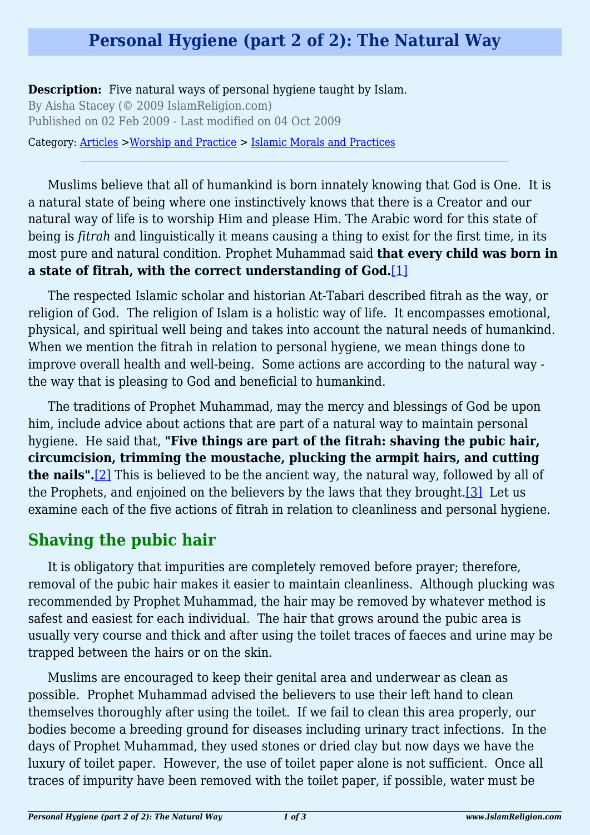### **Personal Hygiene (part 2 of 2): The Natural Way**

**Description:** Five natural ways of personal hygiene taught by Islam.

By Aisha Stacey (© 2009 IslamReligion.com) Published on 02 Feb 2009 - Last modified on 04 Oct 2009

Category: [Articles](http://www.islamreligion.com/articles/) >[Worship and Practice](http://www.islamreligion.com/category/55/) > [Islamic Morals and Practices](http://www.islamreligion.com/category/58/)

Muslims believe that all of humankind is born innately knowing that God is One. It is a natural state of being where one instinctively knows that there is a Creator and our natural way of life is to worship Him and please Him. The Arabic word for this state of being is *fitrah* and linguistically it means causing a thing to exist for the first time, in its most pure and natural condition. Prophet Muhammad said **that every child was born in a state of fitrah, with the correct understanding of God.**[\[1\]](#page-2-0)

<span id="page-0-0"></span>The respected Islamic scholar and historian At-Tabari described fitrah as the way, or religion of God. The religion of Islam is a holistic way of life. It encompasses emotional, physical, and spiritual well being and takes into account the natural needs of humankind. When we mention the fitrah in relation to personal hygiene, we mean things done to improve overall health and well-being. Some actions are according to the natural way the way that is pleasing to God and beneficial to humankind.

The traditions of Prophet Muhammad, may the mercy and blessings of God be upon him, include advice about actions that are part of a natural way to maintain personal hygiene. He said that, **"Five things are part of the fitrah: shaving the pubic hair, circumcision, trimming the moustache, plucking the armpit hairs, and cutting the nails".**[\[2\]](#page-2-1) This is believed to be the ancient way, the natural way, followed by all of the Prophets, and enjoined on the believers by the laws that they brought.<sup>[3]</sup> Let us examine each of the five actions of fitrah in relation to cleanliness and personal hygiene.

### <span id="page-0-2"></span><span id="page-0-1"></span>**Shaving the pubic hair**

It is obligatory that impurities are completely removed before prayer; therefore, removal of the pubic hair makes it easier to maintain cleanliness. Although plucking was recommended by Prophet Muhammad, the hair may be removed by whatever method is safest and easiest for each individual. The hair that grows around the pubic area is usually very course and thick and after using the toilet traces of faeces and urine may be trapped between the hairs or on the skin.

Muslims are encouraged to keep their genital area and underwear as clean as possible. Prophet Muhammad advised the believers to use their left hand to clean themselves thoroughly after using the toilet. If we fail to clean this area properly, our bodies become a breeding ground for diseases including urinary tract infections. In the days of Prophet Muhammad, they used stones or dried clay but now days we have the luxury of toilet paper. However, the use of toilet paper alone is not sufficient. Once all traces of impurity have been removed with the toilet paper, if possible, water must be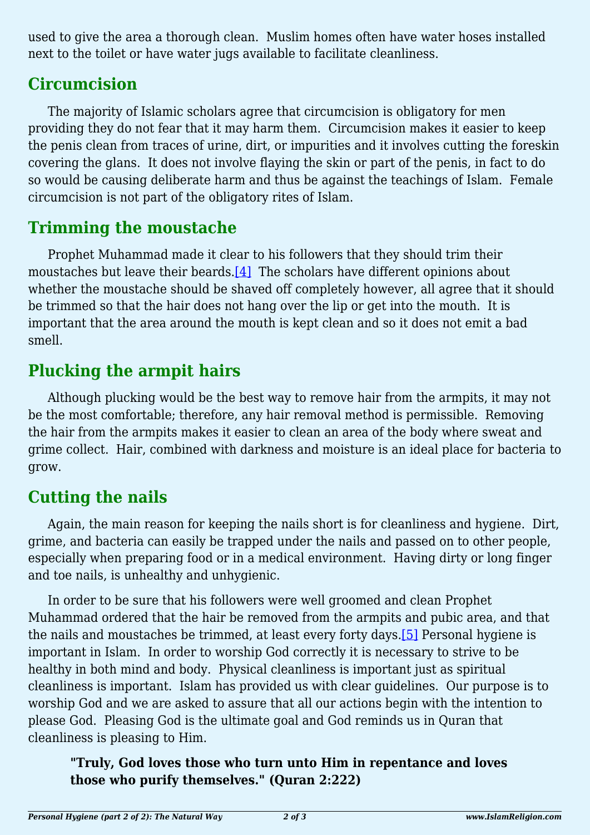used to give the area a thorough clean. Muslim homes often have water hoses installed next to the toilet or have water jugs available to facilitate cleanliness.

### **Circumcision**

The majority of Islamic scholars agree that circumcision is obligatory for men providing they do not fear that it may harm them. Circumcision makes it easier to keep the penis clean from traces of urine, dirt, or impurities and it involves cutting the foreskin covering the glans. It does not involve flaying the skin or part of the penis, in fact to do so would be causing deliberate harm and thus be against the teachings of Islam. Female circumcision is not part of the obligatory rites of Islam.

# **Trimming the moustache**

<span id="page-1-0"></span>Prophet Muhammad made it clear to his followers that they should trim their moustaches but leave their beards[.\[4\]](#page-2-3) The scholars have different opinions about whether the moustache should be shaved off completely however, all agree that it should be trimmed so that the hair does not hang over the lip or get into the mouth. It is important that the area around the mouth is kept clean and so it does not emit a bad smell.

# **Plucking the armpit hairs**

Although plucking would be the best way to remove hair from the armpits, it may not be the most comfortable; therefore, any hair removal method is permissible. Removing the hair from the armpits makes it easier to clean an area of the body where sweat and grime collect. Hair, combined with darkness and moisture is an ideal place for bacteria to grow.

# **Cutting the nails**

Again, the main reason for keeping the nails short is for cleanliness and hygiene. Dirt, grime, and bacteria can easily be trapped under the nails and passed on to other people, especially when preparing food or in a medical environment. Having dirty or long finger and toe nails, is unhealthy and unhygienic.

<span id="page-1-1"></span>In order to be sure that his followers were well groomed and clean Prophet Muhammad ordered that the hair be removed from the armpits and pubic area, and that the nails and moustaches be trimmed, at least every forty days[.\[5\]](#page-2-4) Personal hygiene is important in Islam. In order to worship God correctly it is necessary to strive to be healthy in both mind and body. Physical cleanliness is important just as spiritual cleanliness is important. Islam has provided us with clear guidelines. Our purpose is to worship God and we are asked to assure that all our actions begin with the intention to please God. Pleasing God is the ultimate goal and God reminds us in Quran that cleanliness is pleasing to Him.

#### **"Truly, God loves those who turn unto Him in repentance and loves those who purify themselves." (Quran 2:222)**